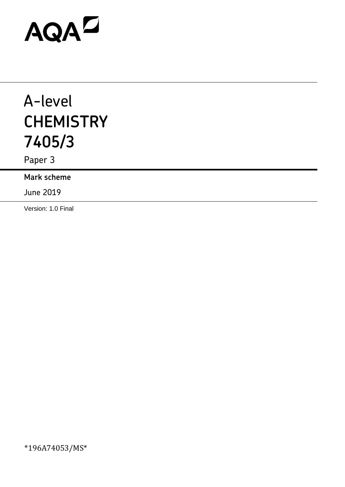# AQAD

# A-level **CHEMISTRY 7405/3**

Paper 3

**Mark scheme**

June 2019

Version: 1.0 Final

\*196A74053/MS\*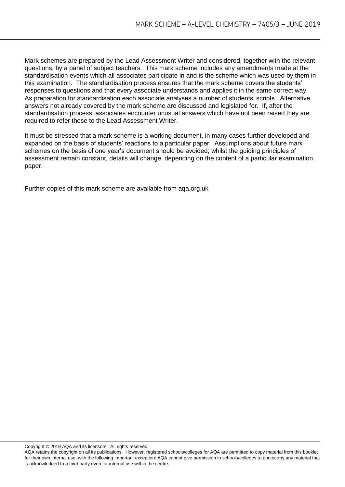Mark schemes are prepared by the Lead Assessment Writer and considered, together with the relevant questions, by a panel of subject teachers. This mark scheme includes any amendments made at the standardisation events which all associates participate in and is the scheme which was used by them in this examination. The standardisation process ensures that the mark scheme covers the students' responses to questions and that every associate understands and applies it in the same correct way. As preparation for standardisation each associate analyses a number of students' scripts. Alternative answers not already covered by the mark scheme are discussed and legislated for. If, after the standardisation process, associates encounter unusual answers which have not been raised they are required to refer these to the Lead Assessment Writer.

It must be stressed that a mark scheme is a working document, in many cases further developed and expanded on the basis of students' reactions to a particular paper. Assumptions about future mark schemes on the basis of one year's document should be avoided; whilst the guiding principles of assessment remain constant, details will change, depending on the content of a particular examination paper.

Further copies of this mark scheme are available from aqa.org.uk

Copyright © 2019 AQA and its licensors. All rights reserved.

AQA retains the copyright on all its publications. However, registered schools/colleges for AQA are permitted to copy material from this booklet for their own internal use, with the following important exception: AQA cannot give permission to schools/colleges to photocopy any material that is acknowledged to a third party even for internal use within the centre.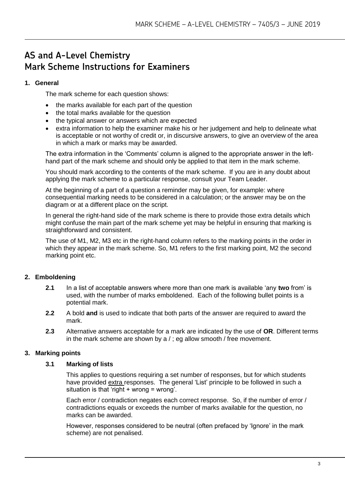# **AS and A-Level Chemistry Mark Scheme Instructions for Examiners**

#### **1. General**

The mark scheme for each question shows:

- the marks available for each part of the question
- the total marks available for the question
- the typical answer or answers which are expected
- extra information to help the examiner make his or her judgement and help to delineate what is acceptable or not worthy of credit or, in discursive answers, to give an overview of the area in which a mark or marks may be awarded.

The extra information in the 'Comments' column is aligned to the appropriate answer in the lefthand part of the mark scheme and should only be applied to that item in the mark scheme.

You should mark according to the contents of the mark scheme. If you are in any doubt about applying the mark scheme to a particular response, consult your Team Leader.

At the beginning of a part of a question a reminder may be given, for example: where consequential marking needs to be considered in a calculation; or the answer may be on the diagram or at a different place on the script.

In general the right-hand side of the mark scheme is there to provide those extra details which might confuse the main part of the mark scheme yet may be helpful in ensuring that marking is straightforward and consistent.

The use of M1, M2, M3 etc in the right-hand column refers to the marking points in the order in which they appear in the mark scheme. So, M1 refers to the first marking point, M2 the second marking point etc.

### **2. Emboldening**

- **2.1** In a list of acceptable answers where more than one mark is available 'any **two** from' is used, with the number of marks emboldened. Each of the following bullet points is a potential mark.
- **2.2** A bold **and** is used to indicate that both parts of the answer are required to award the mark.
- **2.3** Alternative answers acceptable for a mark are indicated by the use of **OR**. Different terms in the mark scheme are shown by a / ; eg allow smooth / free movement.

#### **3. Marking points**

#### **3.1 Marking of lists**

This applies to questions requiring a set number of responses, but for which students have provided extra responses. The general 'List' principle to be followed in such a situation is that 'right + wrong = wrong'.

Each error / contradiction negates each correct response. So, if the number of error / contradictions equals or exceeds the number of marks available for the question, no marks can be awarded.

However, responses considered to be neutral (often prefaced by 'Ignore' in the mark scheme) are not penalised.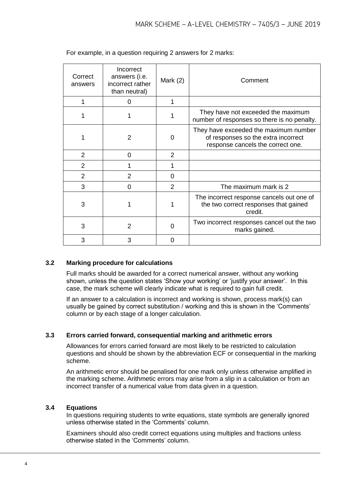| Correct<br>answers | Incorrect<br>answers (i.e.<br>incorrect rather<br>than neutral) | Mark $(2)$     | Comment                                                                                                           |
|--------------------|-----------------------------------------------------------------|----------------|-------------------------------------------------------------------------------------------------------------------|
|                    | 0                                                               |                |                                                                                                                   |
|                    |                                                                 |                | They have not exceeded the maximum<br>number of responses so there is no penalty.                                 |
|                    | $\mathfrak{p}$                                                  | 0              | They have exceeded the maximum number<br>of responses so the extra incorrect<br>response cancels the correct one. |
| $\overline{2}$     | 0                                                               | 2              |                                                                                                                   |
| 2                  |                                                                 |                |                                                                                                                   |
| 2                  | $\mathcal{P}$                                                   | 0              |                                                                                                                   |
| 3                  | 0                                                               | $\overline{2}$ | The maximum mark is 2                                                                                             |
| 3                  |                                                                 |                | The incorrect response cancels out one of<br>the two correct responses that gained<br>credit.                     |
| 3                  | 2                                                               | U              | Two incorrect responses cancel out the two<br>marks gained.                                                       |
| 3                  | 3                                                               | O              |                                                                                                                   |

For example, in a question requiring 2 answers for 2 marks:

#### **3.2 Marking procedure for calculations**

Full marks should be awarded for a correct numerical answer, without any working shown, unless the question states 'Show your working' or 'justify your answer'. In this case, the mark scheme will clearly indicate what is required to gain full credit.

If an answer to a calculation is incorrect and working is shown, process mark(s) can usually be gained by correct substitution / working and this is shown in the 'Comments' column or by each stage of a longer calculation.

#### **3.3 Errors carried forward, consequential marking and arithmetic errors**

Allowances for errors carried forward are most likely to be restricted to calculation questions and should be shown by the abbreviation ECF or consequential in the marking scheme.

An arithmetic error should be penalised for one mark only unless otherwise amplified in the marking scheme. Arithmetic errors may arise from a slip in a calculation or from an incorrect transfer of a numerical value from data given in a question.

#### **3.4 Equations**

In questions requiring students to write equations, state symbols are generally ignored unless otherwise stated in the 'Comments' column.

Examiners should also credit correct equations using multiples and fractions unless otherwise stated in the 'Comments' column.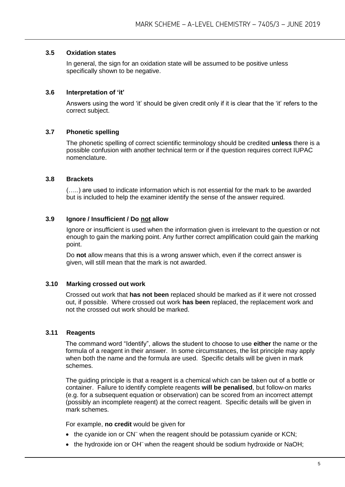#### **3.5 Oxidation states**

In general, the sign for an oxidation state will be assumed to be positive unless specifically shown to be negative.

#### **3.6 Interpretation of 'it'**

Answers using the word 'it' should be given credit only if it is clear that the 'it' refers to the correct subject.

#### **3.7 Phonetic spelling**

The phonetic spelling of correct scientific terminology should be credited **unless** there is a possible confusion with another technical term or if the question requires correct IUPAC nomenclature.

#### **3.8 Brackets**

(…..) are used to indicate information which is not essential for the mark to be awarded but is included to help the examiner identify the sense of the answer required.

#### **3.9 Ignore / Insufficient / Do not allow**

Ignore or insufficient is used when the information given is irrelevant to the question or not enough to gain the marking point. Any further correct amplification could gain the marking point.

Do **not** allow means that this is a wrong answer which, even if the correct answer is given, will still mean that the mark is not awarded.

#### **3.10 Marking crossed out work**

Crossed out work that **has not been** replaced should be marked as if it were not crossed out, if possible. Where crossed out work **has been** replaced, the replacement work and not the crossed out work should be marked.

#### **3.11 Reagents**

The command word "Identify", allows the student to choose to use **either** the name or the formula of a reagent in their answer. In some circumstances, the list principle may apply when both the name and the formula are used. Specific details will be given in mark schemes.

The guiding principle is that a reagent is a chemical which can be taken out of a bottle or container. Failure to identify complete reagents **will be penalised**, but follow-on marks (e.g. for a subsequent equation or observation) can be scored from an incorrect attempt (possibly an incomplete reagent) at the correct reagent. Specific details will be given in mark schemes.

For example, **no credit** would be given for

- the cyanide ion or CN<sup>-</sup> when the reagent should be potassium cyanide or KCN;
- the hydroxide ion or OH<sup>-</sup> when the reagent should be sodium hydroxide or NaOH;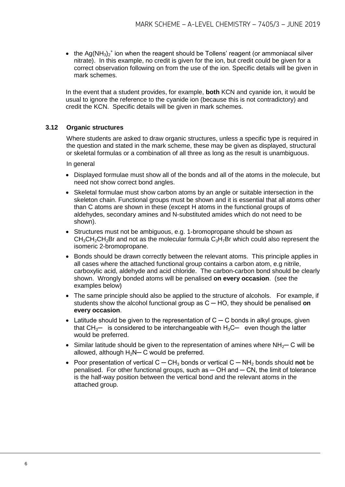• the Ag(NH<sub>3</sub>)<sub>2</sub><sup>+</sup> ion when the reagent should be Tollens' reagent (or ammoniacal silver nitrate). In this example, no credit is given for the ion, but credit could be given for a correct observation following on from the use of the ion. Specific details will be given in mark schemes.

In the event that a student provides, for example, **both** KCN and cyanide ion, it would be usual to ignore the reference to the cyanide ion (because this is not contradictory) and credit the KCN. Specific details will be given in mark schemes.

#### **3.12 Organic structures**

Where students are asked to draw organic structures, unless a specific type is required in the question and stated in the mark scheme, these may be given as displayed, structural or skeletal formulas or a combination of all three as long as the result is unambiguous.

In general

- Displayed formulae must show all of the bonds and all of the atoms in the molecule, but need not show correct bond angles.
- Skeletal formulae must show carbon atoms by an angle or suitable intersection in the skeleton chain. Functional groups must be shown and it is essential that all atoms other than C atoms are shown in these (except H atoms in the functional groups of aldehydes, secondary amines and N-substituted amides which do not need to be shown).
- Structures must not be ambiguous, e.g. 1-bromopropane should be shown as  $CH<sub>3</sub>CH<sub>2</sub>CH<sub>2</sub>Br$  and not as the molecular formula  $C<sub>3</sub>H<sub>7</sub>Br$  which could also represent the isomeric 2-bromopropane.
- Bonds should be drawn correctly between the relevant atoms. This principle applies in all cases where the attached functional group contains a carbon atom, e.g nitrile, carboxylic acid, aldehyde and acid chloride. The carbon-carbon bond should be clearly shown. Wrongly bonded atoms will be penalised **on every occasion**. (see the examples below)
- The same principle should also be applied to the structure of alcohols. For example, if students show the alcohol functional group as C ─ HO, they should be penalised **on every occasion**.
- Latitude should be given to the representation of  $C C$  bonds in alkyl groups, given that  $CH_{3}$ — is considered to be interchangeable with  $H_3C$ — even though the latter would be preferred.
- Similar latitude should be given to the representation of amines where NH<sub>2</sub>— C will be allowed, although  $H_2N-C$  would be preferred.
- Poor presentation of vertical C ─ CH<sup>3</sup> bonds or vertical C ─ NH<sup>2</sup> bonds should **not** be penalised. For other functional groups, such as  $-$  OH and  $-$  CN, the limit of tolerance is the half-way position between the vertical bond and the relevant atoms in the attached group.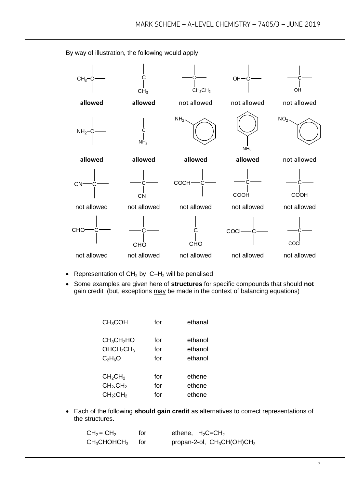$CH<sub>3</sub>$  $CH<sub>3</sub>$ C  $CH<sub>3</sub>CH<sub>2</sub>$  $OH$ OH **allowed allowed** not allowed not allowed not allowed NH<sup>2</sup> C <sup>C</sup>  $N$ H<sub>2</sub>  $NH<sub>2</sub>$ NH<sub>2</sub>  $NO<sub>2</sub>$ **allowed allowed allowed allowed** not allowed cn—ç— —ç CN **COOH COOH** C COOH not allowed not allowed not allowed not allowed not allowed **CHO CHO** C **CHO** COCL coci not allowed not allowed not allowed not allowed not allowed

By way of illustration, the following would apply.

- Representation of  $CH<sub>2</sub>$  by C-H<sub>2</sub> will be penalised
- Some examples are given here of **structures** for specific compounds that should **not** gain credit (but, exceptions may be made in the context of balancing equations)

| CH <sub>3</sub> COH                | for | ethanal |
|------------------------------------|-----|---------|
| CH <sub>3</sub> CH <sub>2</sub> HO | for | ethanol |
| OHCH <sub>2</sub> CH <sub>3</sub>  | for | ethanol |
| $C_2H_6O$                          | for | ethanol |
| CH <sub>2</sub> CH <sub>2</sub>    | for | ethene  |
| CH <sub>2</sub> .CH <sub>2</sub>   | for | ethene  |
| CH <sub>2</sub> :CH <sub>2</sub>   | for | ethene  |

 Each of the following **should gain credit** as alternatives to correct representations of the structures.

| $CH2 = CH2$                      | for   | ethene, $H_2C = CH_2$         |
|----------------------------------|-------|-------------------------------|
| $\mathsf{CH}_3\mathsf{CHOHCH}_3$ | tor – | propan-2-ol, $CH_3CH(OH)CH_3$ |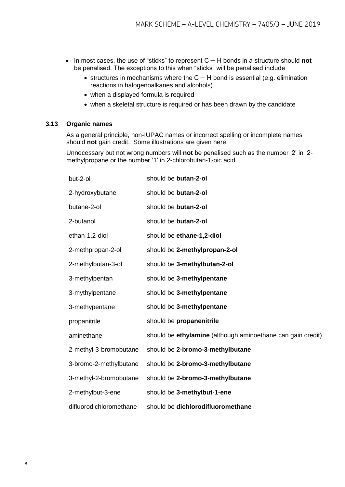- In most cases, the use of "sticks" to represent C ─ H bonds in a structure should **not** be penalised. The exceptions to this when "sticks" will be penalised include
	- structures in mechanisms where the  $C H$  bond is essential (e.g. elimination reactions in halogenoalkanes and alcohols)
	- when a displayed formula is required
	- when a skeletal structure is required or has been drawn by the candidate

#### **3.13 Organic names**

As a general principle, non-IUPAC names or incorrect spelling or incomplete names should **not** gain credit. Some illustrations are given here.

Unnecessary but not wrong numbers will **not** be penalised such as the number '2' in 2 methylpropane or the number '1' in 2-chlorobutan-1-oic acid.

| but-2-ol                | should be butan-2-ol                                        |
|-------------------------|-------------------------------------------------------------|
| 2-hydroxybutane         | should be butan-2-ol                                        |
| butane-2-ol             | should be butan-2-ol                                        |
| 2-butanol               | should be butan-2-ol                                        |
| ethan-1,2-diol          | should be ethane-1,2-diol                                   |
| 2-methpropan-2-ol       | should be 2-methylpropan-2-ol                               |
| 2-methylbutan-3-ol      | should be 3-methylbutan-2-ol                                |
| 3-methylpentan          | should be 3-methylpentane                                   |
| 3-mythylpentane         | should be 3-methylpentane                                   |
| 3-methypentane          | should be 3-methylpentane                                   |
| propanitrile            | should be propanenitrile                                    |
| aminethane              | should be ethylamine (although aminoethane can gain credit) |
| 2-methyl-3-bromobutane  | should be 2-bromo-3-methylbutane                            |
| 3-bromo-2-methylbutane  | should be 2-bromo-3-methylbutane                            |
| 3-methyl-2-bromobutane  | should be 2-bromo-3-methylbutane                            |
| 2-methylbut-3-ene       | should be 3-methylbut-1-ene                                 |
| difluorodichloromethane | should be dichlorodifluoromethane                           |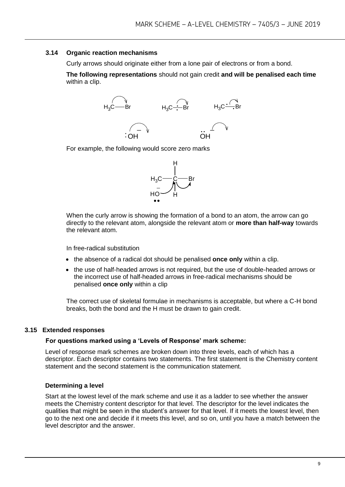#### **3.14 Organic reaction mechanisms**

Curly arrows should originate either from a lone pair of electrons or from a bond.

**The following representations** should not gain credit **and will be penalised each time**  within a clip.



For example, the following would score zero marks



When the curly arrow is showing the formation of a bond to an atom, the arrow can go directly to the relevant atom, alongside the relevant atom or **more than half-way** towards the relevant atom.

In free-radical substitution

- the absence of a radical dot should be penalised **once only** within a clip.
- the use of half-headed arrows is not required, but the use of double-headed arrows or the incorrect use of half-headed arrows in free-radical mechanisms should be penalised **once only** within a clip

The correct use of skeletal formulae in mechanisms is acceptable, but where a C-H bond breaks, both the bond and the H must be drawn to gain credit.

#### **3.15 Extended responses**

#### **For questions marked using a 'Levels of Response' mark scheme:**

Level of response mark schemes are broken down into three levels, each of which has a descriptor. Each descriptor contains two statements. The first statement is the Chemistry content statement and the second statement is the communication statement.

#### **Determining a level**

Start at the lowest level of the mark scheme and use it as a ladder to see whether the answer meets the Chemistry content descriptor for that level. The descriptor for the level indicates the qualities that might be seen in the student's answer for that level. If it meets the lowest level, then go to the next one and decide if it meets this level, and so on, until you have a match between the level descriptor and the answer.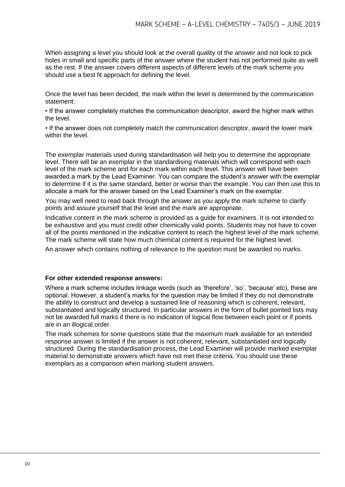When assigning a level you should look at the overall quality of the answer and not look to pick holes in small and specific parts of the answer where the student has not performed quite as well as the rest. If the answer covers different aspects of different levels of the mark scheme you should use a best fit approach for defining the level.

Once the level has been decided, the mark within the level is determined by the communication statement:

• If the answer completely matches the communication descriptor, award the higher mark within the level.

• If the answer does not completely match the communication descriptor, award the lower mark within the level.

The exemplar materials used during standardisation will help you to determine the appropriate level. There will be an exemplar in the standardising materials which will correspond with each level of the mark scheme and for each mark within each level. This answer will have been awarded a mark by the Lead Examiner. You can compare the student's answer with the exemplar to determine if it is the same standard, better or worse than the example. You can then use this to allocate a mark for the answer based on the Lead Examiner's mark on the exemplar.

You may well need to read back through the answer as you apply the mark scheme to clarify points and assure yourself that the level and the mark are appropriate.

Indicative content in the mark scheme is provided as a guide for examiners. It is not intended to be exhaustive and you must credit other chemically valid points. Students may not have to cover all of the points mentioned in the indicative content to reach the highest level of the mark scheme. The mark scheme will state how much chemical content is required for the highest level.

An answer which contains nothing of relevance to the question must be awarded no marks.

#### **For other extended response answers:**

Where a mark scheme includes linkage words (such as 'therefore', 'so', 'because' etc), these are optional. However, a student's marks for the question may be limited if they do not demonstrate the ability to construct and develop a sustained line of reasoning which is coherent, relevant, substantiated and logically structured. In particular answers in the form of bullet pointed lists may not be awarded full marks if there is no indication of logical flow between each point or if points are in an illogical order.

The mark schemes for some questions state that the maximum mark available for an extended response answer is limited if the answer is not coherent, relevant, substantiated and logically structured. During the standardisation process, the Lead Examiner will provide marked exemplar material to demonstrate answers which have not met these criteria. You should use these exemplars as a comparison when marking student answers.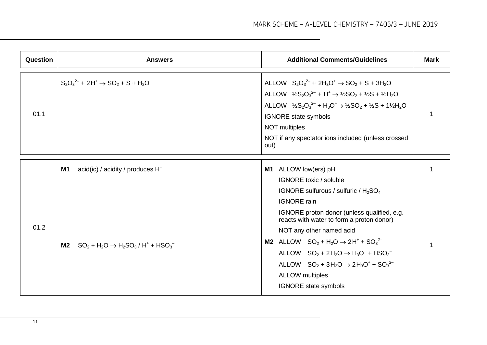| Question | <b>Answers</b>                                                                                                | <b>Additional Comments/Guidelines</b>                                                                                                                                                                                                                                                                                                                                                                                                                                                         | <b>Mark</b> |
|----------|---------------------------------------------------------------------------------------------------------------|-----------------------------------------------------------------------------------------------------------------------------------------------------------------------------------------------------------------------------------------------------------------------------------------------------------------------------------------------------------------------------------------------------------------------------------------------------------------------------------------------|-------------|
| 01.1     | $S_2O_3^{2-}$ + 2H <sup>+</sup> $\rightarrow$ SO <sub>2</sub> + S + H <sub>2</sub> O                          | ALLOW $S_2O_3^{2-}$ + 2H <sub>3</sub> O <sup>+</sup> $\rightarrow$ SO <sub>2</sub> + S + 3H <sub>2</sub> O<br>ALLOW $\frac{1}{2}S_2O_3^{2-}$ + H <sup>+</sup> $\rightarrow \frac{1}{2}SO_2 + \frac{1}{2}S + \frac{1}{2}H_2O$<br>ALLOW $\frac{1}{2}S_2O_3^{2-}$ + H <sub>3</sub> O <sup>+</sup> $\rightarrow$ 1/ <sub>2</sub> SO <sub>2</sub> + 1/ <sub>2</sub> H <sub>2</sub> O<br><b>IGNORE</b> state symbols<br>NOT multiples<br>NOT if any spectator ions included (unless crossed<br>out) |             |
| 01.2     | <b>M1</b><br>acid(ic) / acidity / produces $H^*$<br><b>M2</b> $SO_2 + H_2O \rightarrow H_2SO_3/H^+ + HSO_3^-$ | ALLOW low(ers) pH<br>M1<br><b>IGNORE</b> toxic / soluble<br>IGNORE sulfurous / sulfuric / $H_2SO_4$<br><b>IGNORE</b> rain<br>IGNORE proton donor (unless qualified, e.g.<br>reacts with water to form a proton donor)<br>NOT any other named acid<br><b>M2</b> ALLOW $SO_2 + H_2O \rightarrow 2H^+ + SO_3^{2-}$<br>ALLOW $SO_2 + 2H_2O \rightarrow H_3O^+ + HSO_3^-$<br>ALLOW $SO_2 + 3H_2O \rightarrow 2H_3O^+ + SO_3^{2-}$<br><b>ALLOW</b> multiples<br><b>IGNORE</b> state symbols         |             |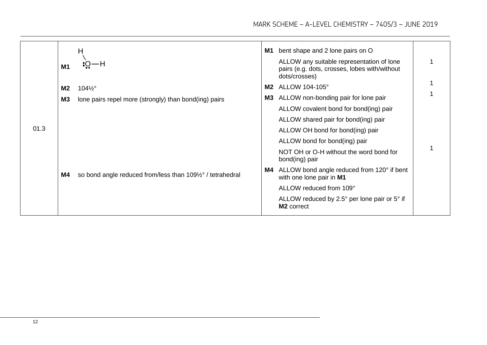|      | M1        | H<br>$+Q-H$                                                | M1 | bent shape and 2 lone pairs on O<br>ALLOW any suitable representation of lone<br>pairs (e.g. dots, crosses, lobes with/without<br>dots/crosses) |  |
|------|-----------|------------------------------------------------------------|----|-------------------------------------------------------------------------------------------------------------------------------------------------|--|
|      | <b>M2</b> | $104\frac{1}{2}$ °                                         | M2 | ALLOW 104-105°                                                                                                                                  |  |
|      | <b>M3</b> | lone pairs repel more (strongly) than bond(ing) pairs      | M3 | ALLOW non-bonding pair for lone pair                                                                                                            |  |
|      |           |                                                            |    | ALLOW covalent bond for bond(ing) pair                                                                                                          |  |
|      |           |                                                            |    | ALLOW shared pair for bond(ing) pair                                                                                                            |  |
| 01.3 |           |                                                            |    | ALLOW OH bond for bond(ing) pair                                                                                                                |  |
|      | M4        |                                                            |    | ALLOW bond for bond(ing) pair                                                                                                                   |  |
|      |           | so bond angle reduced from/less than 1091/2° / tetrahedral |    | NOT OH or O-H without the word bond for<br>bond(ing) pair                                                                                       |  |
|      |           |                                                            | M4 | ALLOW bond angle reduced from 120° if bent<br>with one lone pair in M1                                                                          |  |
|      |           |                                                            |    | ALLOW reduced from 109°                                                                                                                         |  |
|      |           |                                                            |    | ALLOW reduced by 2.5° per lone pair or 5° if<br>M <sub>2</sub> correct                                                                          |  |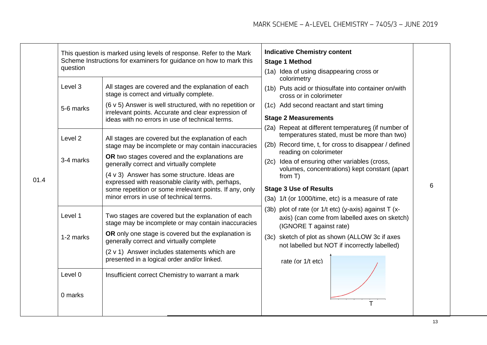| 01.4 | question                                   | This question is marked using levels of response. Refer to the Mark<br>Scheme Instructions for examiners for guidance on how to mark this                                                                                                                                                                                                                                                                  | <b>Indicative Chemistry content</b><br><b>Stage 1 Method</b><br>(1a) Idea of using disappearing cross or                                                                                                                                                                                                                               |   |
|------|--------------------------------------------|------------------------------------------------------------------------------------------------------------------------------------------------------------------------------------------------------------------------------------------------------------------------------------------------------------------------------------------------------------------------------------------------------------|----------------------------------------------------------------------------------------------------------------------------------------------------------------------------------------------------------------------------------------------------------------------------------------------------------------------------------------|---|
|      | Level 3                                    | All stages are covered and the explanation of each<br>stage is correct and virtually complete.                                                                                                                                                                                                                                                                                                             | colorimetry<br>(1b) Puts acid or thiosulfate into container on/with<br>cross or in colorimeter                                                                                                                                                                                                                                         |   |
|      | 5-6 marks                                  | (6 v 5) Answer is well structured, with no repetition or<br>irrelevant points. Accurate and clear expression of<br>ideas with no errors in use of technical terms.                                                                                                                                                                                                                                         | (1c) Add second reactant and start timing<br><b>Stage 2 Measurements</b>                                                                                                                                                                                                                                                               |   |
|      | Level 2<br>3-4 marks                       | All stages are covered but the explanation of each<br>stage may be incomplete or may contain inaccuracies<br>OR two stages covered and the explanations are<br>generally correct and virtually complete<br>(4 v 3) Answer has some structure. Ideas are<br>expressed with reasonable clarity with, perhaps,<br>some repetition or some irrelevant points. If any, only                                     | (2a) Repeat at different temperatures (if number of<br>temperatures stated, must be more than two)<br>(2b) Record time, t, for cross to disappear / defined<br>reading on colorimeter<br>(2c) Idea of ensuring other variables (cross,<br>volumes, concentrations) kept constant (apart<br>from $T$ )<br><b>Stage 3 Use of Results</b> | 6 |
|      | Level 1<br>1-2 marks<br>Level 0<br>0 marks | minor errors in use of technical terms.<br>Two stages are covered but the explanation of each<br>stage may be incomplete or may contain inaccuracies<br>OR only one stage is covered but the explanation is<br>generally correct and virtually complete<br>(2 v 1) Answer includes statements which are<br>presented in a logical order and/or linked.<br>Insufficient correct Chemistry to warrant a mark | (3a) 1/t (or 1000/time, etc) is a measure of rate<br>(3b) plot of rate (or 1/t etc) (y-axis) against T (x-<br>axis) (can come from labelled axes on sketch)<br>(IGNORE T against rate)<br>(3c) sketch of plot as shown (ALLOW 3c if axes<br>not labelled but NOT if incorrectly labelled)<br>rate (or 1/t etc)                         |   |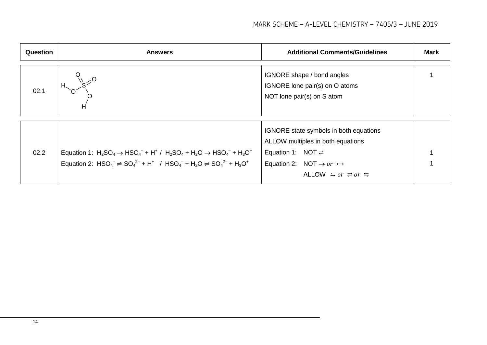| Question | <b>Answers</b>                                                                                                                                                                                     | <b>Additional Comments/Guidelines</b>                                                                                                                                                                         | <b>Mark</b> |
|----------|----------------------------------------------------------------------------------------------------------------------------------------------------------------------------------------------------|---------------------------------------------------------------------------------------------------------------------------------------------------------------------------------------------------------------|-------------|
| 02.1     | н                                                                                                                                                                                                  | IGNORE shape / bond angles<br>IGNORE lone pair(s) on O atoms<br>NOT lone pair(s) on S atom                                                                                                                    |             |
| 02.2     | Equation 1: $H_2SO_4 \to HSO_4^- + H^+ / H_2SO_4 + H_2O \to HSO_4^- + H_3O^+$<br>Equation 2: $HSO_4^- \rightleftharpoons SO_4^{2-} + H^+$ / $HSO_4^- + H_2O \rightleftharpoons SO_4^{2-} + H_3O^+$ | IGNORE state symbols in both equations<br>ALLOW multiples in both equations<br>Equation 1: NOT $\rightleftharpoons$<br>Equation 2: NOT $\rightarrow$ or $\leftrightarrow$<br>ALLOW $\leq$ or $\geq$ or $\leq$ |             |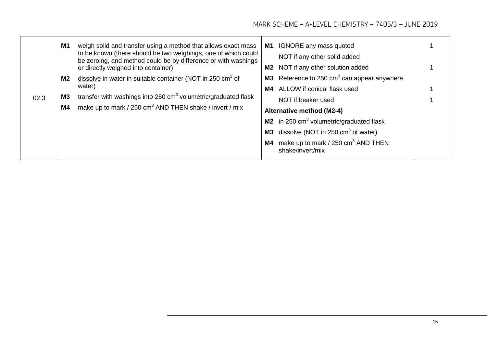|      | M1        | weigh solid and transfer using a method that allows exact mass<br>to be known (there should be two weighings, one of which could<br>be zeroing, and method could be by difference or with washings<br>or directly weighed into container) | M1<br>M2 | IGNORE any mass quoted<br>NOT if any other solid added<br>NOT if any other solution added |  |
|------|-----------|-------------------------------------------------------------------------------------------------------------------------------------------------------------------------------------------------------------------------------------------|----------|-------------------------------------------------------------------------------------------|--|
|      | M2        | dissolve in water in suitable container (NOT in 250 $\text{cm}^3$ of<br>water)                                                                                                                                                            |          | <b>M3</b> Reference to 250 $cm3$ can appear anywhere                                      |  |
|      |           |                                                                                                                                                                                                                                           |          | M4 ALLOW if conical flask used                                                            |  |
| 02.3 | <b>M3</b> | transfer with washings into 250 cm <sup>3</sup> volumetric/graduated flask                                                                                                                                                                |          | NOT if beaker used                                                                        |  |
|      | M4        | make up to mark / 250 $\text{cm}^3$ AND THEN shake / invert / mix                                                                                                                                                                         |          | Alternative method (M2-4)                                                                 |  |
|      |           |                                                                                                                                                                                                                                           |          | M2 in 250 cm <sup>3</sup> volumetric/graduated flask                                      |  |
|      |           |                                                                                                                                                                                                                                           | M3       | dissolve (NOT in 250 $\text{cm}^3$ of water)                                              |  |
|      |           |                                                                                                                                                                                                                                           | M4       | make up to mark / 250 cm <sup>3</sup> AND THEN<br>shake/invert/mix                        |  |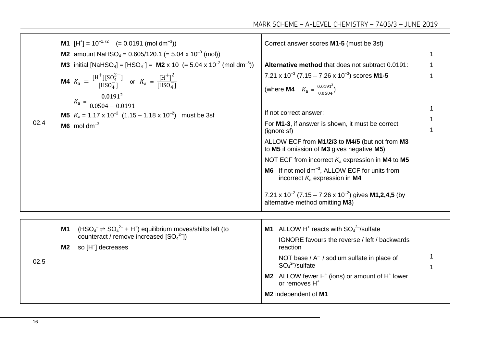| 02.4 | <b>M1</b> $[H^+] = 10^{-1.72}$ (= 0.0191 (mol dm <sup>-3</sup> ))<br><b>M2</b> amount NaHSO <sub>4</sub> = 0.605/120.1 (= 5.04 x 10 <sup>-3</sup> (mol))<br><b>M3</b> initial [NaHSO <sub>4</sub> ] = [HSO <sub>4</sub> <sup>-</sup> ] = <b>M2</b> x 10 (= 5.04 x 10 <sup>-2</sup> (mol dm <sup>-3</sup> ))<br><b>M4</b> $K_a = \frac{[H^+][SO_4^{2-}]}{[HSO_4^-]}$ or $K_a = \frac{[H^+]^2}{[HSO_4^-]}$<br>$K_a = \frac{0.0191^2}{0.0504 - 0.0191}$<br><b>M5</b> $K_a = 1.17 \times 10^{-2}$ (1.15 – 1.18 x 10 <sup>-2</sup> ) must be 3sf<br>$M6$ mol dm <sup>-3</sup> | Correct answer scores M1-5 (must be 3sf)<br>Alternative method that does not subtract 0.0191:<br>7.21 x $10^{-3}$ (7.15 – 7.26 x $10^{-3}$ ) scores M1-5<br>(where <b>M4</b> $K_a = \frac{0.0191^2}{0.0504}$ )<br>If not correct answer:<br>For M1-3, if answer is shown, it must be correct<br>(ignore sf)<br>ALLOW ECF from M1/2/3 to M4/5 (but not from M3<br>to M5 if omission of M3 gives negative M5)<br>NOT ECF from incorrect $K_a$ expression in M4 to M5<br>M6 If not mol dm <sup>-3</sup> , ALLOW ECF for units from<br>incorrect $K_a$ expression in M4<br>7.21 x $10^{-2}$ (7.15 – 7.26 x $10^{-2}$ ) gives <b>M1,2,4,5</b> (by<br>alternative method omitting M3) |  |
|------|--------------------------------------------------------------------------------------------------------------------------------------------------------------------------------------------------------------------------------------------------------------------------------------------------------------------------------------------------------------------------------------------------------------------------------------------------------------------------------------------------------------------------------------------------------------------------|---------------------------------------------------------------------------------------------------------------------------------------------------------------------------------------------------------------------------------------------------------------------------------------------------------------------------------------------------------------------------------------------------------------------------------------------------------------------------------------------------------------------------------------------------------------------------------------------------------------------------------------------------------------------------------|--|
| 02.5 | $(HSO_4^- \rightleftharpoons SO_4^{2-} + H^+)$ equilibrium moves/shifts left (to<br><b>M1</b><br>counteract / remove increased $[SO_4^2]$<br>so [H <sup>+</sup> ] decreases<br>M2                                                                                                                                                                                                                                                                                                                                                                                        | <b>M1</b> ALLOW H <sup>+</sup> reacts with $SO_4^2$ -/sulfate<br>IGNORE favours the reverse / left / backwards<br>reaction<br>NOT base / A <sup>-</sup> / sodium sulfate in place of<br>$SO_4^2$ /sulfate<br>M2 ALLOW fewer H <sup>+</sup> (ions) or amount of H <sup>+</sup> lower<br>or removes H <sup>+</sup><br>M2 independent of M1                                                                                                                                                                                                                                                                                                                                        |  |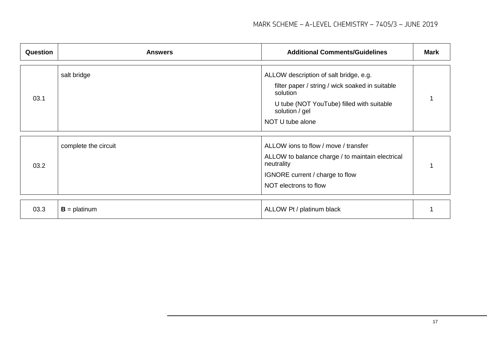| <b>Question</b> | <b>Answers</b>       | <b>Additional Comments/Guidelines</b>                                                                                                                                                    | <b>Mark</b> |
|-----------------|----------------------|------------------------------------------------------------------------------------------------------------------------------------------------------------------------------------------|-------------|
| 03.1            | salt bridge          | ALLOW description of salt bridge, e.g.<br>filter paper / string / wick soaked in suitable<br>solution<br>U tube (NOT YouTube) filled with suitable<br>solution / gel<br>NOT U tube alone |             |
| 03.2            | complete the circuit | ALLOW ions to flow / move / transfer<br>ALLOW to balance charge / to maintain electrical<br>neutrality<br>IGNORE current / charge to flow<br>NOT electrons to flow                       |             |
|                 |                      |                                                                                                                                                                                          |             |
| 03.3            | $B =$ platinum       | ALLOW Pt / platinum black                                                                                                                                                                |             |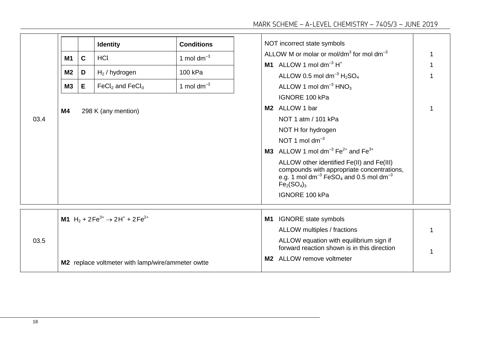| 03.4 | M1<br>M <sub>2</sub><br>M3<br>M4 | $\mathbf C$<br>D<br>E | <b>Identity</b><br><b>HCl</b><br>$H2$ / hydrogen<br>$FeCl2$ and $FeCl3$<br>298 K (any mention)                                               | <b>Conditions</b><br>1 mol dm <sup>-3</sup><br>100 kPa<br>1 mol $dm^{-3}$ | M2<br>M3 | NOT incorrect state symbols<br>ALLOW M or molar or mol/dm <sup>3</sup> for mol dm <sup>-3</sup><br>M1 ALLOW 1 mol dm <sup>-3</sup> $H^*$<br>ALLOW 0.5 mol dm <sup>-3</sup> $H2SO4$<br>ALLOW 1 mol dm <sup>-3</sup> HNO <sub>3</sub><br>IGNORE 100 kPa<br>ALLOW 1 bar<br>NOT 1 atm / 101 kPa<br>NOT H for hydrogen<br>NOT 1 mol $dm^{-3}$<br>ALLOW 1 mol dm <sup>-3</sup> Fe <sup>2+</sup> and Fe <sup>3+</sup><br>ALLOW other identified Fe(II) and Fe(III)<br>compounds with appropriate concentrations,<br>e.g. 1 mol dm <sup>-3</sup> FeSO <sub>4</sub> and 0.5 mol dm <sup>-3</sup><br>$Fe2(SO4)3$<br>IGNORE 100 kPa |   |
|------|----------------------------------|-----------------------|----------------------------------------------------------------------------------------------------------------------------------------------|---------------------------------------------------------------------------|----------|--------------------------------------------------------------------------------------------------------------------------------------------------------------------------------------------------------------------------------------------------------------------------------------------------------------------------------------------------------------------------------------------------------------------------------------------------------------------------------------------------------------------------------------------------------------------------------------------------------------------------|---|
| 03.5 |                                  |                       | M1 H <sub>2</sub> + 2Fe <sup>3+</sup> $\rightarrow$ 2H <sup>+</sup> + 2Fe <sup>2+</sup><br>M2 replace voltmeter with lamp/wire/ammeter owtte |                                                                           | M1<br>M2 | <b>IGNORE</b> state symbols<br>ALLOW multiples / fractions<br>ALLOW equation with equilibrium sign if<br>forward reaction shown is in this direction<br>ALLOW remove voltmeter                                                                                                                                                                                                                                                                                                                                                                                                                                           | 1 |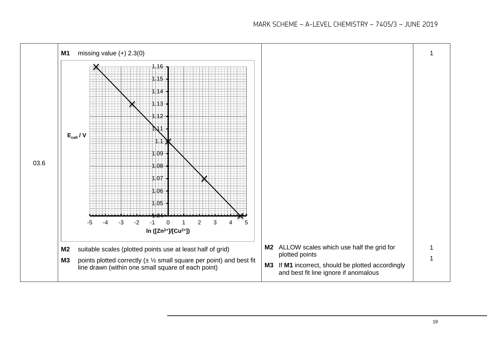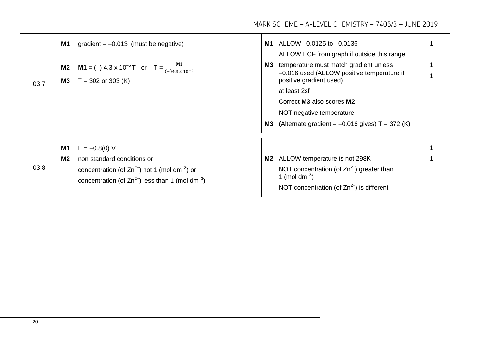|      | M1                          | gradient = $-0.013$ (must be negative)                                                                                              | M1 | ALLOW -0.0125 to -0.0136<br>ALLOW ECF from graph if outside this range                                          |  |
|------|-----------------------------|-------------------------------------------------------------------------------------------------------------------------------------|----|-----------------------------------------------------------------------------------------------------------------|--|
| 03.7 | M <sub>2</sub><br><b>M3</b> | <b>M1</b> = (-) 4.3 x 10 <sup>-5</sup> T or T = $\frac{M1}{(-)4.3 \times 10^{-5}}$<br>$T = 302$ or 303 (K)                          | M3 | temperature must match gradient unless<br>-0.016 used (ALLOW positive temperature if<br>positive gradient used) |  |
|      |                             |                                                                                                                                     |    | at least 2sf                                                                                                    |  |
|      |                             |                                                                                                                                     |    | Correct M3 also scores M2                                                                                       |  |
|      |                             |                                                                                                                                     |    | NOT negative temperature                                                                                        |  |
|      |                             |                                                                                                                                     | M3 | (Alternate gradient = $-0.016$ gives) T = 372 (K)                                                               |  |
|      |                             |                                                                                                                                     |    |                                                                                                                 |  |
| 03.8 | <b>M1</b>                   | $E = -0.8(0)$ V                                                                                                                     |    |                                                                                                                 |  |
|      | M <sub>2</sub>              | non standard conditions or                                                                                                          | M2 | ALLOW temperature is not 298K                                                                                   |  |
|      |                             | concentration (of $Zn^{2+}$ ) not 1 (mol dm <sup>-3</sup> ) or<br>concentration (of $Zn^{2+}$ ) less than 1 (mol dm <sup>-3</sup> ) |    | NOT concentration (of $Zn^{2+}$ ) greater than<br>1 (mol $dm^{-3}$ )                                            |  |
|      |                             |                                                                                                                                     |    | NOT concentration (of $Zn^{2+}$ ) is different                                                                  |  |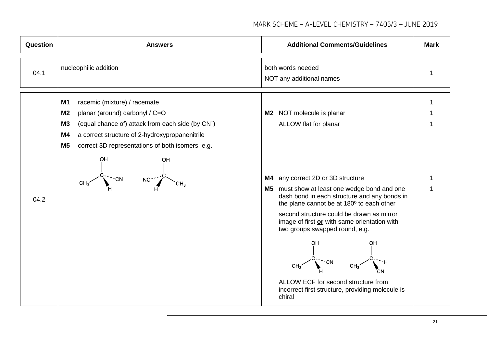| <b>Question</b> | <b>Answers</b>                                                                                                                                                                                                                                                                                                                                              | <b>Additional Comments/Guidelines</b>                                                                                                                                                                                                                                                                                                                                                                                                                                                                                            | <b>Mark</b> |
|-----------------|-------------------------------------------------------------------------------------------------------------------------------------------------------------------------------------------------------------------------------------------------------------------------------------------------------------------------------------------------------------|----------------------------------------------------------------------------------------------------------------------------------------------------------------------------------------------------------------------------------------------------------------------------------------------------------------------------------------------------------------------------------------------------------------------------------------------------------------------------------------------------------------------------------|-------------|
| 04.1            | nucleophilic addition                                                                                                                                                                                                                                                                                                                                       | both words needed<br>NOT any additional names                                                                                                                                                                                                                                                                                                                                                                                                                                                                                    |             |
| 04.2            | racemic (mixture) / racemate<br>M <sub>1</sub><br>planar (around) carbonyl / C=O<br>M <sub>2</sub><br><b>M3</b><br>(equal chance of) attack from each side (by CN <sup>-</sup> )<br><b>M4</b><br>a correct structure of 2-hydroxypropanenitrile<br>M <sub>5</sub><br>correct 3D representations of both isomers, e.g.<br>OH<br>OH<br>NC <sup>.</sup><br>CH3 | NOT molecule is planar<br>M2<br>ALLOW flat for planar<br>any correct 2D or 3D structure<br>M4<br>M5 must show at least one wedge bond and one<br>dash bond in each structure and any bonds in<br>the plane cannot be at 180° to each other<br>second structure could be drawn as mirror<br>image of first or with same orientation with<br>two groups swapped round, e.g.<br>OН<br>OН<br>CH <sub>2</sub><br>CH <sub>3</sub><br>ALLOW ECF for second structure from<br>incorrect first structure, providing molecule is<br>chiral |             |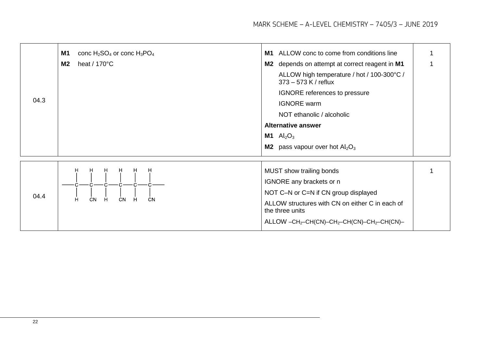| 04.3 | <b>M1</b><br>conc $H_2SO_4$ or conc $H_3PO_4$<br>heat / $170^{\circ}$ C<br>M <sub>2</sub> | ALLOW conc to come from conditions line<br>M1<br>M2 depends on attempt at correct reagent in M1<br>ALLOW high temperature / hot / 100-300°C /<br>373 - 573 K / reflux<br>IGNORE references to pressure<br><b>IGNORE</b> warm<br>NOT ethanolic / alcoholic<br><b>Alternative answer</b><br><b>M1</b> $\text{Al}_2\text{O}_3$<br><b>M2</b> pass vapour over hot $Al_2O_3$ |  |
|------|-------------------------------------------------------------------------------------------|-------------------------------------------------------------------------------------------------------------------------------------------------------------------------------------------------------------------------------------------------------------------------------------------------------------------------------------------------------------------------|--|
| 04.4 | H<br>H<br>н<br>н<br>н<br>H<br>CN<br>H<br>CN<br>н<br>CN<br>Н                               | MUST show trailing bonds<br>IGNORE any brackets or n<br>NOT C-N or C=N if CN group displayed<br>ALLOW structures with CN on either C in each of<br>the three units<br>$ALLOW -CH_2-CH(CN)-CH_2-CH(CN)-CH_2-CH(CN)-$                                                                                                                                                     |  |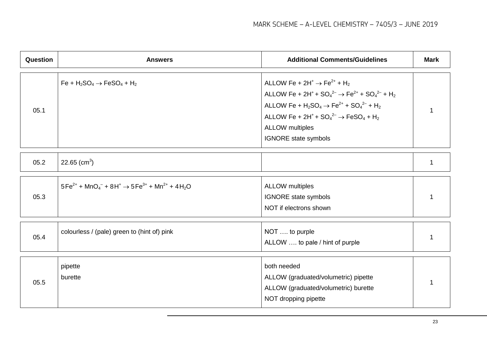| <b>Question</b> | <b>Answers</b>                                                                                                                      | <b>Additional Comments/Guidelines</b>                                                                                                                                                                                                                                                                                                                                                                                                  | <b>Mark</b> |
|-----------------|-------------------------------------------------------------------------------------------------------------------------------------|----------------------------------------------------------------------------------------------------------------------------------------------------------------------------------------------------------------------------------------------------------------------------------------------------------------------------------------------------------------------------------------------------------------------------------------|-------------|
| 05.1            | $Fe + H_2SO_4 \rightarrow FeSO_4 + H_2$                                                                                             | ALLOW Fe + $2H^+$ $\rightarrow$ Fe <sup>2+</sup> + H <sub>2</sub><br>ALLOW Fe + 2H <sup>+</sup> + SO <sub>4</sub> <sup>2-</sup> $\rightarrow$ Fe <sup>2+</sup> + SO <sub>4</sub> <sup>2-</sup> + H <sub>2</sub><br>ALLOW Fe + $H_2SO_4 \to Fe^{2+} + SO_4^{2-} + H_2$<br>ALLOW Fe + 2H <sup>+</sup> + $SO_4^2$ <sup>2-</sup> $\rightarrow$ FeSO <sub>4</sub> + H <sub>2</sub><br><b>ALLOW</b> multiples<br><b>IGNORE</b> state symbols |             |
| 05.2            | 22.65 (cm <sup>3</sup> )                                                                                                            |                                                                                                                                                                                                                                                                                                                                                                                                                                        | 1           |
| 05.3            | $5Fe^{2+}$ + MnO <sub>4</sub> <sup>-</sup> + 8H <sup>+</sup> $\rightarrow$ 5Fe <sup>3+</sup> + Mn <sup>2+</sup> + 4H <sub>2</sub> O | <b>ALLOW</b> multiples<br><b>IGNORE</b> state symbols<br>NOT if electrons shown                                                                                                                                                                                                                                                                                                                                                        |             |
| 05.4            | colourless / (pale) green to (hint of) pink                                                                                         | NOT  to purple<br>ALLOW  to pale / hint of purple                                                                                                                                                                                                                                                                                                                                                                                      | 1           |
| 05.5            | pipette<br>burette                                                                                                                  | both needed<br>ALLOW (graduated/volumetric) pipette<br>ALLOW (graduated/volumetric) burette<br>NOT dropping pipette                                                                                                                                                                                                                                                                                                                    |             |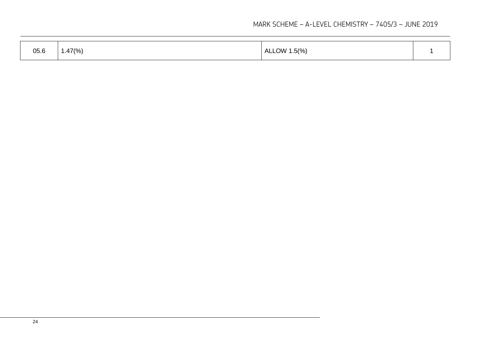| 05.6 | ، 47(%) | ALLOW 1.5(%) |  |
|------|---------|--------------|--|
|------|---------|--------------|--|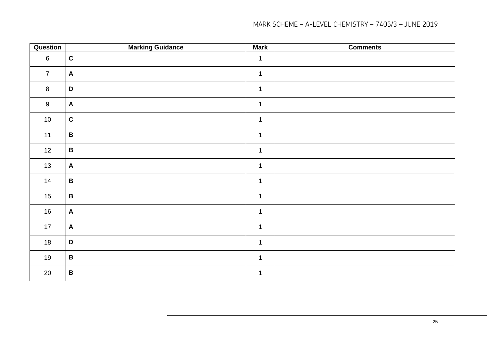| Question       | <b>Marking Guidance</b>   | <b>Mark</b>  | <b>Comments</b> |
|----------------|---------------------------|--------------|-----------------|
| $\,6\,$        | $\mathbf C$               | $\mathbf 1$  |                 |
| $\overline{7}$ | $\mathsf{A}$              | $\mathbf 1$  |                 |
| $\bf{8}$       | $\mathbf D$               | $\mathbf 1$  |                 |
| $9\,$          | $\mathsf{A}$              | $\mathbf 1$  |                 |
| 10             | $\mathbf c$               | $\mathbf{1}$ |                 |
| 11             | $\, {\bf B} \,$           | $\mathbf{1}$ |                 |
| 12             | $\, {\bf B} \,$           | $\mathbf{1}$ |                 |
| 13             | $\mathbf{A}$              | $\mathbf{1}$ |                 |
| 14             | $\, {\bf B} \,$           | $\mathbf 1$  |                 |
| 15             | $\, {\bf B} \,$           | $\mathbf{1}$ |                 |
| 16             | $\boldsymbol{\mathsf{A}}$ | $\mathbf{1}$ |                 |
| 17             | $\mathbf{A}$              | $\mathbf{1}$ |                 |
| 18             | $\mathbf D$               | $\mathbf{1}$ |                 |
| 19             | $\, {\bf B} \,$           | $\mathbf 1$  |                 |
| 20             | $\, {\bf B} \,$           | $\mathbf 1$  |                 |